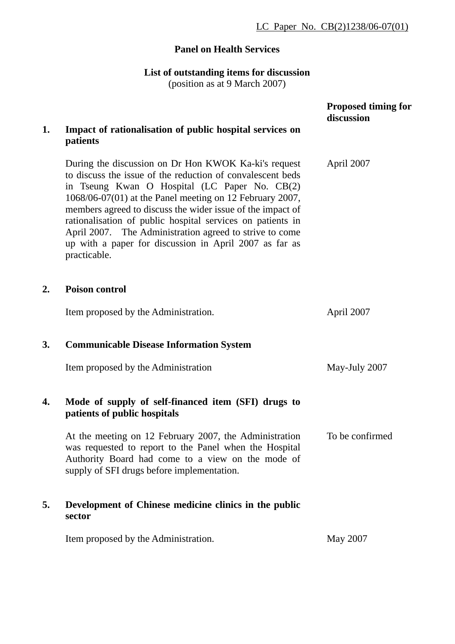## **Panel on Health Services**

**List of outstanding items for discussion** 

(position as at 9 March 2007)

|    |                                                                                                                                                                                                                                                                                                                                                                                                                                                                                                  | <b>Proposed timing for</b><br>discussion |
|----|--------------------------------------------------------------------------------------------------------------------------------------------------------------------------------------------------------------------------------------------------------------------------------------------------------------------------------------------------------------------------------------------------------------------------------------------------------------------------------------------------|------------------------------------------|
| 1. | Impact of rationalisation of public hospital services on<br>patients                                                                                                                                                                                                                                                                                                                                                                                                                             |                                          |
|    | During the discussion on Dr Hon KWOK Ka-ki's request<br>to discuss the issue of the reduction of convalescent beds<br>in Tseung Kwan O Hospital (LC Paper No. CB(2)<br>1068/06-07(01) at the Panel meeting on 12 February 2007,<br>members agreed to discuss the wider issue of the impact of<br>rationalisation of public hospital services on patients in<br>April 2007. The Administration agreed to strive to come<br>up with a paper for discussion in April 2007 as far as<br>practicable. | April 2007                               |
| 2. | <b>Poison control</b>                                                                                                                                                                                                                                                                                                                                                                                                                                                                            |                                          |
|    | Item proposed by the Administration.                                                                                                                                                                                                                                                                                                                                                                                                                                                             | April 2007                               |
| 3. | <b>Communicable Disease Information System</b>                                                                                                                                                                                                                                                                                                                                                                                                                                                   |                                          |
|    | Item proposed by the Administration                                                                                                                                                                                                                                                                                                                                                                                                                                                              | May-July 2007                            |
| 4. | Mode of supply of self-financed item (SFI) drugs to<br>patients of public hospitals                                                                                                                                                                                                                                                                                                                                                                                                              |                                          |
|    | At the meeting on 12 February 2007, the Administration<br>was requested to report to the Panel when the Hospital<br>Authority Board had come to a view on the mode of<br>supply of SFI drugs before implementation.                                                                                                                                                                                                                                                                              | To be confirmed                          |
| 5. | Development of Chinese medicine clinics in the public<br>sector                                                                                                                                                                                                                                                                                                                                                                                                                                  |                                          |
|    | Item proposed by the Administration.                                                                                                                                                                                                                                                                                                                                                                                                                                                             | May 2007                                 |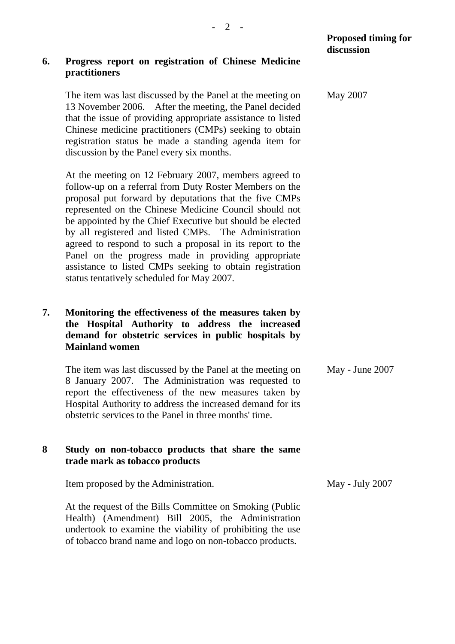## **6. Progress report on registration of Chinese Medicine practitioners**

The item was last discussed by the Panel at the meeting on 13 November 2006. After the meeting, the Panel decided that the issue of providing appropriate assistance to listed Chinese medicine practitioners (CMPs) seeking to obtain registration status be made a standing agenda item for discussion by the Panel every six months.

At the meeting on 12 February 2007, members agreed to follow-up on a referral from Duty Roster Members on the proposal put forward by deputations that the five CMPs represented on the Chinese Medicine Council should not be appointed by the Chief Executive but should be elected by all registered and listed CMPs. The Administration agreed to respond to such a proposal in its report to the Panel on the progress made in providing appropriate assistance to listed CMPs seeking to obtain registration status tentatively scheduled for May 2007.

## **7. Monitoring the effectiveness of the measures taken by the Hospital Authority to address the increased demand for obstetric services in public hospitals by Mainland women**

The item was last discussed by the Panel at the meeting on 8 January 2007. The Administration was requested to report the effectiveness of the new measures taken by Hospital Authority to address the increased demand for its obstetric services to the Panel in three months' time. May - June 2007

## **8 Study on non-tobacco products that share the same trade mark as tobacco products**

Item proposed by the Administration.

At the request of the Bills Committee on Smoking (Public Health) (Amendment) Bill 2005, the Administration undertook to examine the viability of prohibiting the use of tobacco brand name and logo on non-tobacco products.

May - July 2007

May 2007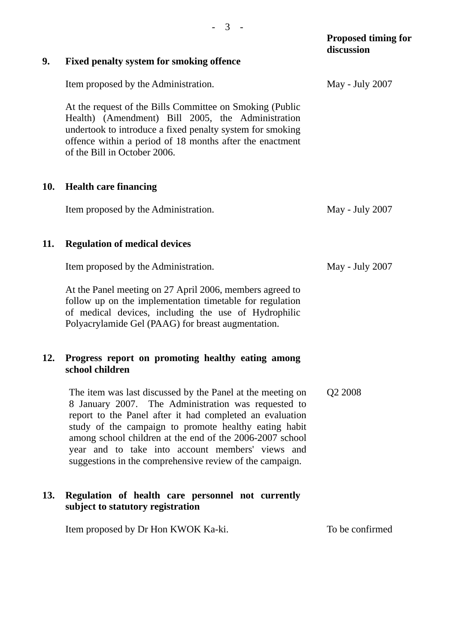|     |                                                                                                                                                                                                                                                                                                                                                                                                                    | <b>Proposed timing for</b><br>discussion |
|-----|--------------------------------------------------------------------------------------------------------------------------------------------------------------------------------------------------------------------------------------------------------------------------------------------------------------------------------------------------------------------------------------------------------------------|------------------------------------------|
| 9.  | <b>Fixed penalty system for smoking offence</b>                                                                                                                                                                                                                                                                                                                                                                    |                                          |
|     | Item proposed by the Administration.                                                                                                                                                                                                                                                                                                                                                                               | May - July 2007                          |
|     | At the request of the Bills Committee on Smoking (Public<br>Health) (Amendment) Bill 2005, the Administration<br>undertook to introduce a fixed penalty system for smoking<br>offence within a period of 18 months after the enactment<br>of the Bill in October 2006.                                                                                                                                             |                                          |
| 10. | <b>Health care financing</b>                                                                                                                                                                                                                                                                                                                                                                                       |                                          |
|     | Item proposed by the Administration.                                                                                                                                                                                                                                                                                                                                                                               | May - July 2007                          |
| 11. | <b>Regulation of medical devices</b>                                                                                                                                                                                                                                                                                                                                                                               |                                          |
|     | Item proposed by the Administration.                                                                                                                                                                                                                                                                                                                                                                               | May - July 2007                          |
|     | At the Panel meeting on 27 April 2006, members agreed to<br>follow up on the implementation timetable for regulation<br>of medical devices, including the use of Hydrophilic<br>Polyacrylamide Gel (PAAG) for breast augmentation.                                                                                                                                                                                 |                                          |
| 12. | Progress report on promoting healthy eating among<br>school children                                                                                                                                                                                                                                                                                                                                               |                                          |
|     | The item was last discussed by the Panel at the meeting on<br>8 January 2007. The Administration was requested to<br>report to the Panel after it had completed an evaluation<br>study of the campaign to promote healthy eating habit<br>among school children at the end of the 2006-2007 school<br>year and to take into account members' views and<br>suggestions in the comprehensive review of the campaign. | Q <sub>2</sub> 2008                      |
| 13. | Regulation of health care personnel not currently<br>subject to statutory registration                                                                                                                                                                                                                                                                                                                             |                                          |
|     | Item proposed by Dr Hon KWOK Ka-ki.                                                                                                                                                                                                                                                                                                                                                                                | To be confirmed                          |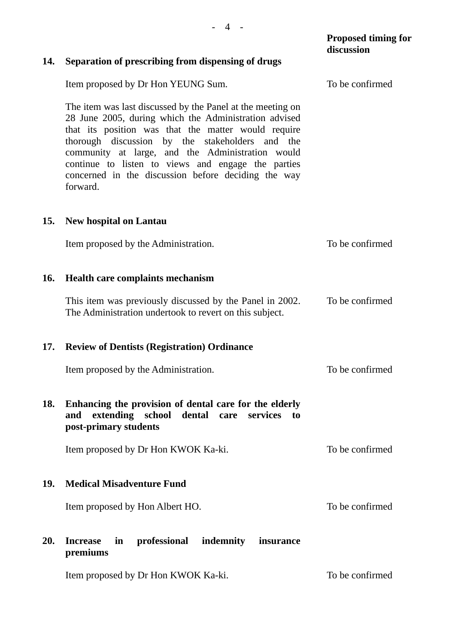|     |                                                                                                                                                                                                                                                                                                                                                                                                            | <b>Proposed timing for</b><br>discussion |
|-----|------------------------------------------------------------------------------------------------------------------------------------------------------------------------------------------------------------------------------------------------------------------------------------------------------------------------------------------------------------------------------------------------------------|------------------------------------------|
| 14. | Separation of prescribing from dispensing of drugs                                                                                                                                                                                                                                                                                                                                                         |                                          |
|     | Item proposed by Dr Hon YEUNG Sum.                                                                                                                                                                                                                                                                                                                                                                         | To be confirmed                          |
|     | The item was last discussed by the Panel at the meeting on<br>28 June 2005, during which the Administration advised<br>that its position was that the matter would require<br>thorough discussion by the stakeholders and the<br>community at large, and the Administration would<br>continue to listen to views and engage the parties<br>concerned in the discussion before deciding the way<br>forward. |                                          |
| 15. | <b>New hospital on Lantau</b>                                                                                                                                                                                                                                                                                                                                                                              |                                          |
|     | Item proposed by the Administration.                                                                                                                                                                                                                                                                                                                                                                       | To be confirmed                          |
| 16. | <b>Health care complaints mechanism</b>                                                                                                                                                                                                                                                                                                                                                                    |                                          |
|     | This item was previously discussed by the Panel in 2002.<br>The Administration undertook to revert on this subject.                                                                                                                                                                                                                                                                                        | To be confirmed                          |
| 17. | <b>Review of Dentists (Registration) Ordinance</b>                                                                                                                                                                                                                                                                                                                                                         |                                          |
|     | Item proposed by the Administration.                                                                                                                                                                                                                                                                                                                                                                       | To be confirmed                          |
| 18. | Enhancing the provision of dental care for the elderly<br>extending school dental care<br>services<br>and<br>to<br>post-primary students                                                                                                                                                                                                                                                                   |                                          |
|     | Item proposed by Dr Hon KWOK Ka-ki.                                                                                                                                                                                                                                                                                                                                                                        | To be confirmed                          |
| 19. | <b>Medical Misadventure Fund</b>                                                                                                                                                                                                                                                                                                                                                                           |                                          |
|     | Item proposed by Hon Albert HO.                                                                                                                                                                                                                                                                                                                                                                            | To be confirmed                          |
| 20. | professional<br>in<br>indemnity insurance<br><b>Increase</b><br>premiums                                                                                                                                                                                                                                                                                                                                   |                                          |

Item proposed by Dr Hon KWOK Ka-ki.

To be confirmed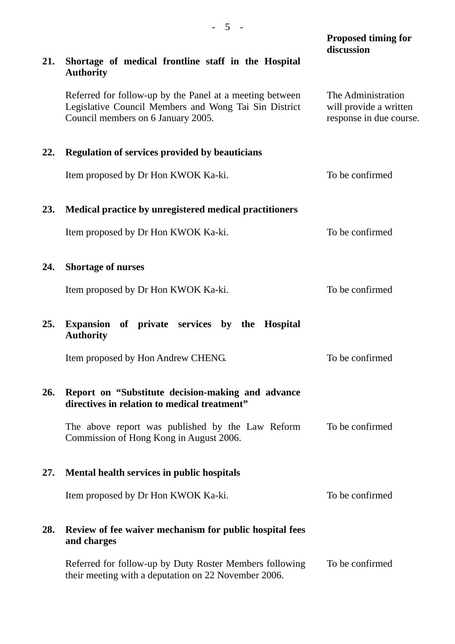|            |                                                                                                                                                         | <b>Proposed timing for</b><br>discussion                                |
|------------|---------------------------------------------------------------------------------------------------------------------------------------------------------|-------------------------------------------------------------------------|
| 21.        | Shortage of medical frontline staff in the Hospital<br><b>Authority</b>                                                                                 |                                                                         |
|            | Referred for follow-up by the Panel at a meeting between<br>Legislative Council Members and Wong Tai Sin District<br>Council members on 6 January 2005. | The Administration<br>will provide a written<br>response in due course. |
| 22.        | <b>Regulation of services provided by beauticians</b>                                                                                                   |                                                                         |
|            | Item proposed by Dr Hon KWOK Ka-ki.                                                                                                                     | To be confirmed                                                         |
| 23.        | Medical practice by unregistered medical practitioners                                                                                                  |                                                                         |
|            | Item proposed by Dr Hon KWOK Ka-ki.                                                                                                                     | To be confirmed                                                         |
| 24.        | <b>Shortage of nurses</b>                                                                                                                               |                                                                         |
|            | Item proposed by Dr Hon KWOK Ka-ki.                                                                                                                     | To be confirmed                                                         |
| 25.        | <b>Expansion</b><br>of private services by the<br><b>Hospital</b><br><b>Authority</b>                                                                   |                                                                         |
|            | Item proposed by Hon Andrew CHENG.                                                                                                                      | To be confirmed                                                         |
| <b>26.</b> | Report on "Substitute decision-making and advance<br>directives in relation to medical treatment"                                                       |                                                                         |
|            | The above report was published by the Law Reform<br>Commission of Hong Kong in August 2006.                                                             | To be confirmed                                                         |
| 27.        | Mental health services in public hospitals                                                                                                              |                                                                         |
|            | Item proposed by Dr Hon KWOK Ka-ki.                                                                                                                     | To be confirmed                                                         |
| 28.        | Review of fee waiver mechanism for public hospital fees<br>and charges                                                                                  |                                                                         |
|            | Referred for follow-up by Duty Roster Members following<br>their meeting with a deputation on 22 November 2006.                                         | To be confirmed                                                         |